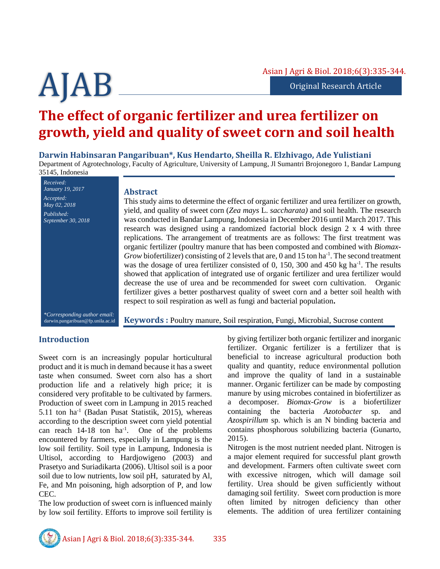# **The effect of organic fertilizer and urea fertilizer on growth, yield and quality of sweet corn and soil health**

**Darwin Habinsaran Pangaribuan\*, Kus Hendarto, Sheilla R. Elzhivago, Ade Yulistiani** Department of Agrotechnology, Faculty of Agriculture, University of Lampung, Jl Sumantri Brojonegoro 1, Bandar Lampung 35145, Indonesia

*Received: January 19, 2017 Accepted: May 02, 2018 Published: September 30, 2018 \*Corresponding author email:*

## **Abstract**

This study aims to determine the effect of organic fertilizer and urea fertilizer on growth, yield, and quality of sweet corn (*Zea mays* L. *saccharata)* and soil health. The research was conducted in Bandar Lampung, Indonesia in December 2016 until March 2017. This research was designed using a randomized factorial block design 2 x 4 with three replications. The arrangement of treatments are as follows: The first treatment was organic fertilizer (poultry manure that has been composted and combined with *Biomax-*Grow biofertilizer) consisting of 2 levels that are, 0 and 15 ton ha<sup>-1</sup>. The second treatment was the dosage of urea fertilizer consisted of  $0$ , 150, 300 and 450 kg ha<sup>-1</sup>. The results showed that application of integrated use of organic fertilizer and urea fertilizer would decrease the use of urea and be recommended for sweet corn cultivation. Organic fertilizer gives a better postharvest quality of sweet corn and a better soil health with respect to soil respiration as well as fungi and bacterial population**.**

darwin.pangaribuan@fp.unila.ac.id

**Keywords :** Poultry manure, Soil respiration, Fungi, Microbial, Sucrose content

# **Introduction**

Sweet corn is an increasingly popular horticultural product and it is much in demand because it has a sweet taste when consumed. Sweet corn also has a short production life and a relatively high price; it is considered very profitable to be cultivated by farmers. Production of sweet corn in Lampung in 2015 reached 5.11 ton ha-1 (Badan Pusat Statistik, 2015), whereas according to the description sweet corn yield potential can reach 14-18 ton ha-1 . One of the problems encountered by farmers, especially in Lampung is the low soil fertility. Soil type in Lampung, Indonesia is Ultisol, according to Hardjowigeno (2003) and Prasetyo and Suriadikarta (2006). Ultisol soil is a poor soil due to low nutrients, low soil pH, saturated by Al, Fe, and Mn poisoning, high adsorption of P, and low CEC.

The low production of sweet corn is influenced mainly by low soil fertility. Efforts to improve soil fertility is by giving fertilizer both organic fertilizer and inorganic fertilizer. Organic fertilizer is a fertilizer that is beneficial to increase agricultural production both quality and quantity, reduce environmental pollution and improve the quality of land in a sustainable manner. Organic fertilizer can be made by composting manure by using microbes contained in biofertilizer as a decomposer. *Biomax-Grow* is a biofertilizer containing the bacteria *Azotobacter* sp. and *Azospirillum* sp. which is an N binding bacteria and contains phosphorous solubilizing bacteria (Gunarto, 2015).

Nitrogen is the most nutrient needed plant. Nitrogen is a major element required for successful plant growth and development. Farmers often cultivate sweet corn with excessive nitrogen, which will damage soil fertility. Urea should be given sufficiently without damaging soil fertility. Sweet corn production is more often limited by nitrogen deficiency than other elements. The addition of urea fertilizer containing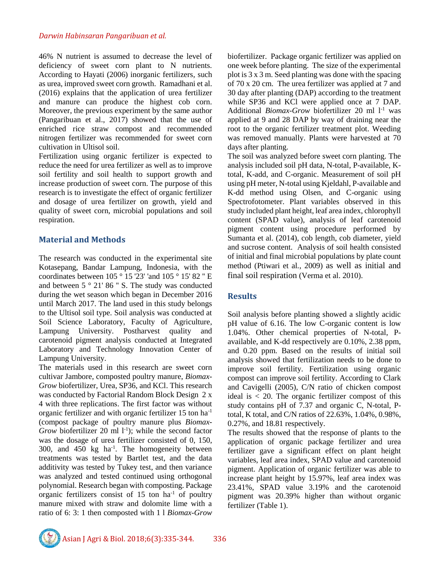46% N nutrient is assumed to decrease the level of deficiency of sweet corn plant to N nutrients. According to Hayati (2006) inorganic fertilizers, such as urea, improved sweet corn growth. Ramadhani et al. (2016) explains that the application of urea fertilizer and manure can produce the highest cob corn. Moreover, the previous experiment by the same author (Pangaribuan et al., 2017) showed that the use of enriched rice straw compost and recommended nitrogen fertilizer was recommended for sweet corn cultivation in Ultisol soil.

Fertilization using organic fertilizer is expected to reduce the need for urea fertilizer as well as to improve soil fertility and soil health to support growth and increase production of sweet corn. The purpose of this research is to investigate the effect of organic fertilizer and dosage of urea fertilizer on growth, yield and quality of sweet corn, microbial populations and soil respiration.

# **Material and Methods**

The research was conducted in the experimental site Kotasepang, Bandar Lampung, Indonesia, with the coordinates between 105 ° 15 '23' 'and 105 ° 15' 82 '' E and between 5 ° 21' 86 '' S. The study was conducted during the wet season which began in December 2016 until March 2017. The land used in this study belongs to the Ultisol soil type. Soil analysis was conducted at Soil Science Laboratory, Faculty of Agriculture, Lampung University. Postharvest quality and carotenoid pigment analysis conducted at Integrated Laboratory and Technology Innovation Center of Lampung University.

The materials used in this research are sweet corn cultivar Jambore, composted poultry manure, *Biomax-Grow* biofertilizer, Urea, SP36, and KCl. This research was conducted by Factorial Random Block Design 2 x 4 with three replications. The first factor was without organic fertilizer and with organic fertilizer 15 ton ha-1 (compost package of poultry manure plus *Biomax-*Grow biofertilizer 20 ml  $1<sup>-1</sup>$ ; while the second factor was the dosage of urea fertilizer consisted of 0, 150, 300, and  $450 \text{ kg}$  ha<sup>-1</sup>. The homogeneity between treatments was tested by Bartlet test, and the data additivity was tested by Tukey test, and then variance was analyzed and tested continued using orthogonal polynomial. Research began with composting. Package organic fertilizers consist of 15 ton ha-1 of poultry manure mixed with straw and dolomite lime with a ratio of 6: 3: 1 then composted with 1 l *Biomax-Grow* biofertilizer. Package organic fertilizer was applied on one week before planting. The size of the experimental plot is 3 x 3 m. Seed planting was done with the spacing of 70 x 20 cm. The urea fertilizer was applied at 7 and 30 day after planting (DAP) according to the treatment while SP36 and KCl were applied once at 7 DAP. Additional *Biomax-Grow* biofertilizer 20 ml <sup>1-1</sup> was applied at 9 and 28 DAP by way of draining near the root to the organic fertilizer treatment plot. Weeding was removed manually. Plants were harvested at 70 days after planting.

The soil was analyzed before sweet corn planting. The analysis included soil pH data, N-total, P-available, Ktotal, K-add, and C-organic. Measurement of soil pH using pH meter, N-total using Kjeldahl, P-available and K-dd method using Olsen, and C-organic using Spectrofotometer. Plant variables observed in this study included plant height, leaf area index, chlorophyll content (SPAD value), analysis of leaf carotenoid pigment content using procedure performed by Sumanta et al. (2014), cob length, cob diameter, yield and sucrose content. Analysis of soil health consisted of initial and final microbial populations by plate count method (Ptiwari et al*.*, 2009) as well as initial and final soil respiration (Verma et al. 2010).

# **Results**

Soil analysis before planting showed a slightly acidic pH value of 6.16. The low C-organic content is low 1.04%. Other chemical properties of N-total, Pavailable, and K-dd respectively are 0.10%, 2.38 ppm, and 0.20 ppm. Based on the results of initial soil analysis showed that fertilization needs to be done to improve soil fertility. Fertilization using organic compost can improve soil fertility. According to Clark and Cavigelli (2005), C/N ratio of chicken compost ideal is < 20. The organic fertilizer compost of this study contains pH of 7.37 and organic C, N-total, Ptotal, K total, and C/N ratios of 22.63%, 1.04%, 0.98%, 0.27%, and 18.81 respectively.

The results showed that the response of plants to the application of organic package fertilizer and urea fertilizer gave a significant effect on plant height variables, leaf area index, SPAD value and carotenoid pigment. Application of organic fertilizer was able to increase plant height by 15.97%, leaf area index was 23.41%, SPAD value 3.19% and the carotenoid pigment was 20.39% higher than without organic fertilizer (Table 1).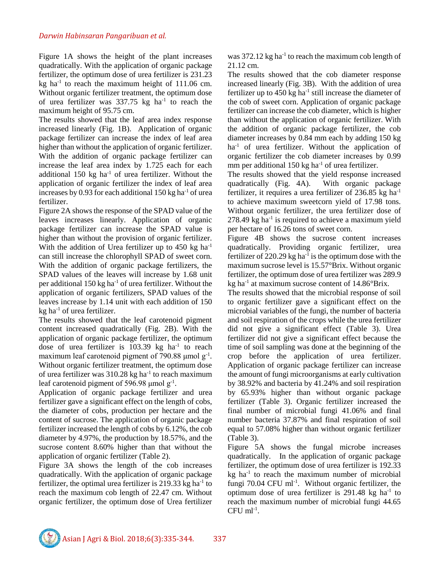Figure 1A shows the height of the plant increases quadratically. With the application of organic package fertilizer, the optimum dose of urea fertilizer is 231.23 kg ha<sup>-1</sup> to reach the maximum height of  $111.06$  cm. Without organic fertilizer treatment, the optimum dose of urea fertilizer was  $337.75$  kg ha<sup>-1</sup> to reach the maximum height of 95.75 cm.

The results showed that the leaf area index response increased linearly (Fig. 1B). Application of organic package fertilizer can increase the index of leaf area higher than without the application of organic fertilizer. With the addition of organic package fertilizer can increase the leaf area index by 1.725 each for each additional 150 kg ha<sup>-1</sup> of urea fertilizer. Without the application of organic fertilizer the index of leaf area increases by 0.93 for each additional  $150 \text{ kg}$  ha<sup>-1</sup> of urea fertilizer.

Figure 2A shows the response of the SPAD value of the leaves increases linearly. Application of organic package fertilizer can increase the SPAD value is higher than without the provision of organic fertilizer. With the addition of Urea fertilizer up to  $450 \text{ kg}$  ha<sup>-1</sup> can still increase the chlorophyll SPAD of sweet corn. With the addition of organic package fertilizers, the SPAD values of the leaves will increase by 1.68 unit per additional  $150 \text{ kg}$  ha<sup>-1</sup> of urea fertilizer. Without the application of organic fertilizers, SPAD values of the leaves increase by 1.14 unit with each addition of 150  $kg$  ha<sup>-1</sup> of urea fertilizer.

The results showed that the leaf carotenoid pigment content increased quadratically (Fig. 2B). With the application of organic package fertilizer, the optimum dose of urea fertilizer is  $103.39 \text{ kg}$  ha<sup>-1</sup> to reach maximum leaf carotenoid pigment of 790.88  $\mu$ mol g<sup>-1</sup>. Without organic fertilizer treatment, the optimum dose of urea fertilizer was  $310.28$  kg ha<sup>-1</sup> to reach maximum leaf carotenoid pigment of 596.98  $\mu$ mol g<sup>-1</sup>.

Application of organic package fertilizer and urea fertilizer gave a significant effect on the length of cobs, the diameter of cobs, production per hectare and the content of sucrose. The application of organic package fertilizer increased the length of cobs by 6.12%, the cob diameter by 4.97%, the production by 18.57%, and the sucrose content 8.60% higher than that without the application of organic fertilizer (Table 2).

Figure 3A shows the length of the cob increases quadratically. With the application of organic package fertilizer, the optimal urea fertilizer is 219.33 kg ha<sup>-1</sup> to reach the maximum cob length of 22.47 cm. Without organic fertilizer, the optimum dose of Urea fertilizer

was  $372.12$  kg ha<sup>-1</sup> to reach the maximum cob length of 21.12 cm.

The results showed that the cob diameter response increased linearly (Fig. 3B). With the addition of urea fertilizer up to  $450 \text{ kg}$  ha<sup>-1</sup> still increase the diameter of the cob of sweet corn. Application of organic package fertilizer can increase the cob diameter, which is higher than without the application of organic fertilizer. With the addition of organic package fertilizer, the cob diameter increases by 0.84 mm each by adding 150 kg ha<sup>-1</sup> of urea fertilizer. Without the application of organic fertilizer the cob diameter increases by 0.99 mm per additional  $150 \text{ kg}$  ha<sup>-1</sup> of urea fertilizer.

The results showed that the yield response increased quadratically (Fig. 4A). With organic package fertilizer, it requires a urea fertilizer of 236.85 kg ha-1 to achieve maximum sweetcorn yield of 17.98 tons. Without organic fertilizer, the urea fertilizer dose of  $278.49$  kg ha<sup>-1</sup> is required to achieve a maximum yield per hectare of 16.26 tons of sweet corn.

Figure 4B shows the sucrose content increases quadratically. Providing organic fertilizer, urea fertilizer of  $220.29$  kg ha<sup>-1</sup> is the optimum dose with the maximum sucrose level is 15.57°Brix. Without organic fertilizer, the optimum dose of urea fertilizer was 289.9 kg ha<sup>-1</sup> at maximum sucrose content of  $14.86^{\circ}$ Brix.

The results showed that the microbial response of soil to organic fertilizer gave a significant effect on the microbial variables of the fungi, the number of bacteria and soil respiration of the crops while the urea fertilizer did not give a significant effect (Table 3). Urea fertilizer did not give a significant effect because the time of soil sampling was done at the beginning of the crop before the application of urea fertilizer. Application of organic package fertilizer can increase the amount of fungi microorganisms at early cultivation by 38.92% and bacteria by 41.24% and soil respiration by 65.93% higher than without organic package fertilizer (Table 3). Organic fertilizer increased the final number of microbial fungi 41.06% and final number bacteria 37.87% and final respiration of soil equal to 57.08% higher than without organic fertilizer (Table 3).

Figure 5A shows the fungal microbe increases quadratically. In the application of organic package fertilizer, the optimum dose of urea fertilizer is 192.33  $kg$  ha<sup>-1</sup> to reach the maximum number of microbial fungi 70.04 CFU ml<sup>-1</sup>. Without organic fertilizer, the optimum dose of urea fertilizer is  $291.48 \text{ kg}$  ha<sup>-1</sup> to reach the maximum number of microbial fungi 44.65  $CFU$  ml<sup>-1</sup>.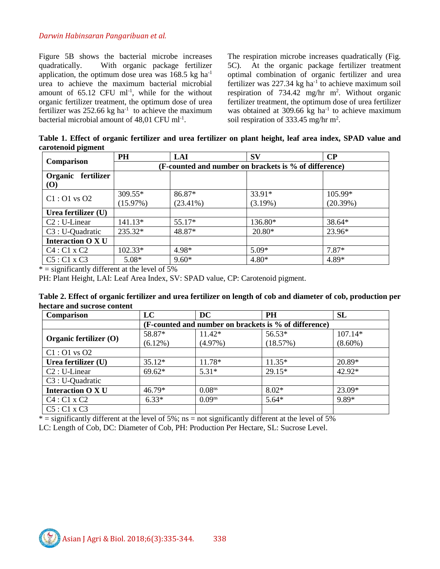Figure 5B shows the bacterial microbe increases quadratically. With organic package fertilizer application, the optimum dose urea was  $168.5 \text{ kg ha}^{-1}$ urea to achieve the maximum bacterial microbial amount of  $65.12$  CFU ml<sup>-1</sup>, while for the without organic fertilizer treatment, the optimum dose of urea fertilizer was  $252.66$  kg ha<sup>-1</sup> to achieve the maximum bacterial microbial amount of 48,01 CFU ml<sup>-1</sup>.

The respiration microbe increases quadratically (Fig. 5C). At the organic package fertilizer treatment optimal combination of organic fertilizer and urea fertilizer was  $227.34$  kg ha<sup>-1</sup> to achieve maximum soil respiration of  $734.42$  mg/hr m<sup>2</sup>. Without organic fertilizer treatment, the optimum dose of urea fertilizer was obtained at 309.66  $kg$  ha<sup>-1</sup> to achieve maximum soil respiration of  $333.45$  mg/hr m<sup>2</sup>.

**Table 1. Effect of organic fertilizer and urea fertilizer on plant height, leaf area index, SPAD value and carotenoid pigment**

| Comparison                                        | PH                                                    | LAI                   | <b>SV</b>            | $\bf CP$            |  |
|---------------------------------------------------|-------------------------------------------------------|-----------------------|----------------------|---------------------|--|
|                                                   | (F-counted and number on brackets is % of difference) |                       |                      |                     |  |
| Organic fertilizer<br>$\boldsymbol{\mathrm{(O)}}$ |                                                       |                       |                      |                     |  |
| $C1:O1$ vs $O2$                                   | 309.55*<br>(15.97%)                                   | 86.87*<br>$(23.41\%)$ | 33.91*<br>$(3.19\%)$ | 105.99*<br>(20.39%) |  |
| Urea fertilizer (U)                               |                                                       |                       |                      |                     |  |
| $C2:U-Linear$                                     | $141.13*$                                             | 55.17*                | 136.80*              | 38.64*              |  |
| C3 : U-Quadratic                                  | $235.32*$                                             | 48.87*                | $20.80*$             | 23.96*              |  |
| <b>Interaction O X U</b>                          |                                                       |                       |                      |                     |  |
| C4:CI x C2                                        | $102.33*$                                             | 4.98*                 | $5.09*$              | $7.87*$             |  |
| $C5: C1 \times C3$                                | $5.08*$                                               | $9.60*$               | $4.80*$              | 4.89*               |  |

 $*$  = significantly different at the level of 5%

PH: Plant Height, LAI: Leaf Area Index, SV: SPAD value, CP: Carotenoid pigment.

**Table 2. Effect of organic fertilizer and urea fertilizer on length of cob and diameter of cob, production per hectare and sucrose content**

| Comparison               | LC                                                    | <b>DC</b>          | PH       | <b>SL</b>  |  |  |  |
|--------------------------|-------------------------------------------------------|--------------------|----------|------------|--|--|--|
|                          | (F-counted and number on brackets is % of difference) |                    |          |            |  |  |  |
|                          | 58.87*                                                | 11.42*             | 56.53*   | 107.14*    |  |  |  |
| Organic fertilizer (O)   | $(6.12\%)$                                            | $(4.97\%)$         | (18.57%) | $(8.60\%)$ |  |  |  |
| $Cl: O1$ vs $O2$         |                                                       |                    |          |            |  |  |  |
| Urea fertilizer (U)      | $35.12*$                                              | 11.78*             | $11.35*$ | 20.89*     |  |  |  |
| $C2:U\text{-Linear}$     | $69.62*$                                              | $5.31*$            | 29.15*   | 42.92*     |  |  |  |
| C3 : U-Quadratic         |                                                       |                    |          |            |  |  |  |
| <b>Interaction O X U</b> | $46.79*$                                              | 0.08 <sup>ns</sup> | $8.02*$  | 23.09*     |  |  |  |
| $C4: C1 \times C2$       | $6.33*$                                               | $0.09^{ns}$        | $5.64*$  | $9.89*$    |  |  |  |
| $C5: C1 \times C3$       |                                                       |                    |          |            |  |  |  |

 $*$  = significantly different at the level of 5%; ns = not significantly different at the level of 5%

LC: Length of Cob, DC: Diameter of Cob, PH: Production Per Hectare, SL: Sucrose Level.

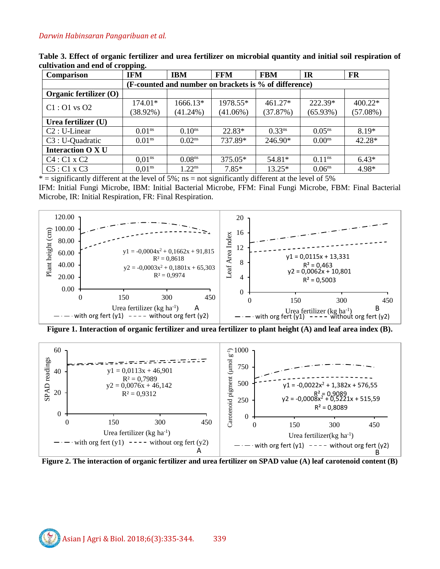| Comparison               | <b>IFM</b>                                            | <b>IBM</b>         | <b>FFM</b>  | <b>FBM</b>  | <b>IR</b>          | <b>FR</b> |  |  |
|--------------------------|-------------------------------------------------------|--------------------|-------------|-------------|--------------------|-----------|--|--|
|                          | (F-counted and number on brackets is % of difference) |                    |             |             |                    |           |  |  |
| Organic fertilizer (O)   |                                                       |                    |             |             |                    |           |  |  |
| $C1:O1$ vs $O2$          | 174.01*                                               | 1666.13*           | 1978.55*    | $461.27*$   | 222.39*            | $400.22*$ |  |  |
|                          | $(38.92\%)$                                           | $(41.24\%)$        | $(41.06\%)$ | (37.87%)    | (65.93%)           | (57.08%)  |  |  |
| Urea fertilizer (U)      |                                                       |                    |             |             |                    |           |  |  |
| $C2:U\text{-Linear}$     | 0.01 <sup>ns</sup>                                    | 0.10 <sup>ns</sup> | 22.83*      | $0.33^{ns}$ | $0.05^{ns}$        | $8.19*$   |  |  |
| C3 : U-Quadratic         | 0.01 <sup>ns</sup>                                    | 0.02 <sup>ns</sup> | 737.89*     | 246.90*     | 0.00 <sup>ns</sup> | 42.28*    |  |  |
| <b>Interaction O X U</b> |                                                       |                    |             |             |                    |           |  |  |
| $C4: C1 \times C2$       | 0.01 <sup>ns</sup>                                    | 0.08 <sup>ns</sup> | $375.05*$   | 54.81*      | 0.11 <sup>ns</sup> | $6.43*$   |  |  |
| $C5: C1 \times C3$       | 0.01 <sup>ns</sup>                                    | $1.22^{ns}$        | $7.85*$     | $13.25*$    | 0.06 <sup>ns</sup> | 4.98*     |  |  |

**Table 3. Effect of organic fertilizer and urea fertilizer on microbial quantity and initial soil respiration of cultivation and end of cropping.**

 $*$  = significantly different at the level of 5%; ns = not significantly different at the level of 5%

IFM: Initial Fungi Microbe, IBM: Initial Bacterial Microbe, FFM: Final Fungi Microbe, FBM: Final Bacterial Microbe, IR: Initial Respiration, FR: Final Respiration.



**Figure 1. Interaction of organic fertilizer and urea fertilizer to plant height (A) and leaf area index (B).**



**Figure 2. The interaction of organic fertilizer and urea fertilizer on SPAD value (A) leaf carotenoid content (B)**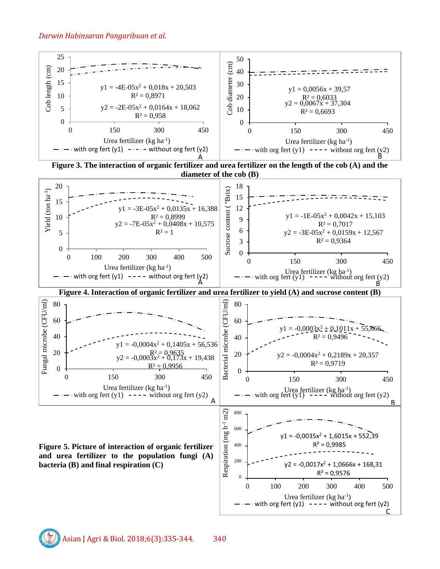

with org fert  $(y1)$  ---- without org fert  $(y2)$ 

C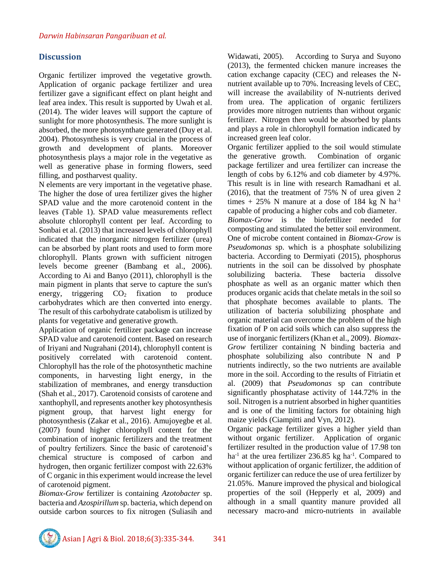# **Discussion**

Organic fertilizer improved the vegetative growth. Application of organic package fertilizer and urea fertilizer gave a significant effect on plant height and leaf area index. This result is supported by Uwah et al. (2014). The wider leaves will support the capture of sunlight for more photosynthesis. The more sunlight is absorbed, the more photosynthate generated (Duy et al. 2004). Photosynthesis is very crucial in the process of growth and development of plants. Moreover photosynthesis plays a major role in the vegetative as well as generative phase in forming flowers, seed filling, and postharvest quality.

N elements are very important in the vegetative phase. The higher the dose of urea fertilizer gives the higher SPAD value and the more carotenoid content in the leaves (Table 1). SPAD value measurements reflect absolute chlorophyll content per leaf. According to Sonbai et al. (2013) that increased levels of chlorophyll indicated that the inorganic nitrogen fertilizer (urea) can be absorbed by plant roots and used to form more chlorophyll. Plants grown with sufficient nitrogen levels become greener (Bambang et al., 2006). According to Ai and Banyo (2011), chlorophyll is the main pigment in plants that serve to capture the sun's energy, triggering  $CO<sub>2</sub>$  fixation to produce carbohydrates which are then converted into energy. The result of this carbohydrate catabolism is utilized by plants for vegetative and generative growth.

Application of organic fertilizer package can increase SPAD value and carotenoid content. Based on research of Iriyani and Nugrahani (2014), chlorophyll content is positively correlated with carotenoid content. Chlorophyll has the role of the photosynthetic machine components, in harvesting light energy, in the stabilization of membranes, and energy transduction (Shah et al., 2017). Carotenoid consists of carotene and xanthophyll, and represents another key photosynthesis pigment group, that harvest light energy for photosynthesis (Zakar et al., 2016). Amujoyegbe et al. (2007) found higher chlorophyll content for the combination of inorganic fertilizers and the treatment of poultry fertilizers. Since the basic of carotenoid's chemical structure is composed of carbon and hydrogen, then organic fertilizer compost with 22.63% of C organic in this experiment would increase the level of carotenoid pigment.

*Biomax-Grow* fertilizer is containing *Azotobacter* sp. bacteria and *Azospirillum* sp. bacteria, which depend on outside carbon sources to fix nitrogen (Suliasih and

Widawati, 2005). According to Surya and Suyono (2013), the fermented chicken manure increases the cation exchange capacity (CEC) and releases the Nnutrient available up to 70%. Increasing levels of CEC, will increase the availability of N-nutrients derived from urea. The application of organic fertilizers provides more nitrogen nutrients than without organic fertilizer. Nitrogen then would be absorbed by plants and plays a role in chlorophyll formation indicated by increased green leaf color.

Organic fertilizer applied to the soil would stimulate the generative growth. Combination of organic package fertilizer and urea fertilizer can increase the length of cobs by 6.12% and cob diameter by 4.97%. This result is in line with research Ramadhani et al. (2016), that the treatment of 75% N of urea given 2 times + 25% N manure at a dose of 184 kg N  $ha^{-1}$ capable of producing a higher cobs and cob diameter.

*Biomax-Grow* is the biofertilizer needed for composting and stimulated the better soil environment. One of microbe content contained in *Biomax-Grow* is *Pseudomonas* sp. which is a phosphate solubilizing bacteria. According to Dermiyati (2015), phosphorus nutrients in the soil can be dissolved by phosphate solubilizing bacteria. These bacteria dissolve phosphate as well as an organic matter which then produces organic acids that chelate metals in the soil so that phosphate becomes available to plants. The utilization of bacteria solubilizing phosphate and organic material can overcome the problem of the high fixation of P on acid soils which can also suppress the use of inorganic fertilizers (Khan et al., 2009). *Biomax-Grow* fertilizer containing N binding bacteria and phosphate solubilizing also contribute N and P nutrients indirectly, so the two nutrients are available more in the soil. According to the results of Fitriatin et al. (2009) that *Pseudomonas* sp can contribute significantly phosphatase activity of 144.72% in the soil. Nitrogen is a nutrient absorbed in higher quantities and is one of the limiting factors for obtaining high maize yields (Ciampitti and Vyn, 2012).

Organic package fertilizer gives a higher yield than without organic fertilizer. Application of organic fertilizer resulted in the production value of 17.98 ton ha<sup>-1</sup> at the urea fertilizer 236.85 kg ha<sup>-1</sup>. Compared to without application of organic fertilizer, the addition of organic fertilizer can reduce the use of urea fertilizer by 21.05%. Manure improved the physical and biological properties of the soil (Hepperly et al, 2009) and although in a small quantity manure provided all necessary macro-and micro-nutrients in available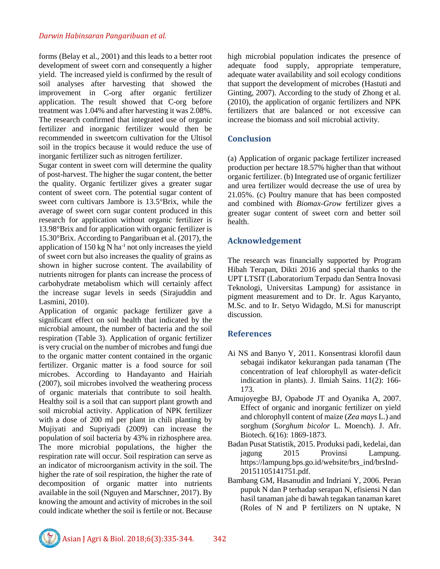forms (Belay et al., 2001) and this leads to a better root development of sweet corn and consequently a higher yield. The increased yield is confirmed by the result of soil analyses after harvesting that showed the improvement in C-org after organic fertilizer application. The result showed that C-org before treatment was 1.04% and after harvesting it was 2.08%. The research confirmed that integrated use of organic fertilizer and inorganic fertilizer would then be recommended in sweetcorn cultivation for the Ultisol soil in the tropics because it would reduce the use of inorganic fertilizer such as nitrogen fertilizer.

Sugar content in sweet corn will determine the quality of post-harvest. The higher the sugar content, the better the quality. Organic fertilizer gives a greater sugar content of sweet corn. The potential sugar content of sweet corn cultivars Jambore is 13.5°Brix, while the average of sweet corn sugar content produced in this research for application without organic fertilizer is 13.98°Brix and for application with organic fertilizer is 15.30°Brix. According to Pangaribuan et al. (2017), the application of 150 kg N ha<sup>-1</sup> not only increases the yield of sweet corn but also increases the quality of grains as shown in higher sucrose content. The availability of nutrients nitrogen for plants can increase the process of carbohydrate metabolism which will certainly affect the increase sugar levels in seeds (Sirajuddin and Lasmini, 2010).

Application of organic package fertilizer gave a significant effect on soil health that indicated by the microbial amount, the number of bacteria and the soil respiration (Table 3). Application of organic fertilizer is very crucial on the number of microbes and fungi due to the organic matter content contained in the organic fertilizer. Organic matter is a food source for soil microbes. According to Handayanto and Hairiah (2007), soil microbes involved the weathering process of organic materials that contribute to soil health. Healthy soil is a soil that can support plant growth and soil microbial activity. Application of NPK fertilizer with a dose of 200 ml per plant in chili planting by Mujiyati and Supriyadi (2009) can increase the population of soil bacteria by 43% in rizhosphere area. The more microbial populations, the higher the respiration rate will occur. Soil respiration can serve as an indicator of microorganism activity in the soil. The higher the rate of soil respiration, the higher the rate of decomposition of organic matter into nutrients available in the soil (Nguyen and Marschner, 2017). By knowing the amount and activity of microbes in the soil could indicate whether the soil is fertile or not. Because

high microbial population indicates the presence of adequate food supply, appropriate temperature, adequate water availability and soil ecology conditions that support the development of microbes (Hastuti and Ginting, 2007). According to the study of Zhong et al. (2010), the application of organic fertilizers and NPK fertilizers that are balanced or not excessive can increase the biomass and soil microbial activity.

## **Conclusion**

(a) Application of organic package fertilizer increased production per hectare 18.57% higher than that without organic fertilizer. (b) Integrated use of organic fertilizer and urea fertilizer would decrease the use of urea by 21.05%. (c) Poultry manure that has been composted and combined with *Biomax-Grow* fertilizer gives a greater sugar content of sweet corn and better soil health.

# **Acknowledgement**

The research was financially supported by Program Hibah Terapan, Dikti 2016 and special thanks to the UPT LTSIT (Laboratorium Terpadu dan Sentra Inovasi Teknologi, Universitas Lampung) for assistance in pigment measurement and to Dr. Ir. Agus Karyanto, M.Sc. and to Ir. Setyo Widagdo, M.Si for manuscript discussion.

# **References**

- Ai NS and Banyo Y, 2011. Konsentrasi klorofil daun sebagai indikator kekurangan pada tanaman (The concentration of leaf chlorophyll as water-deficit indication in plants). J. Ilmiah Sains. 11(2): 166- 173.
- Amujoyegbe BJ, Opabode JT and Oyanika A, 2007. Effect of organic and inorganic fertilizer on yield and chlorophyll content of maize (*Zea mays* L.) and sorghum (*Sorghum bicolor* L. Moench). J. Afr. Biotech. 6(16): 1869-1873.
- Badan Pusat Statistik, 2015. Produksi padi, kedelai, dan jagung 2015 Provinsi Lampung. https://lampung.bps.go.id/website/brs\_ind/brsInd-20151105141751.pdf.
- Bambang GM, Hasanudin and Indriani Y, 2006. Peran pupuk N dan P terhadap serapan N, efisiensi N dan hasil tanaman jahe di bawah tegakan tanaman karet (Roles of N and P fertilizers on N uptake, N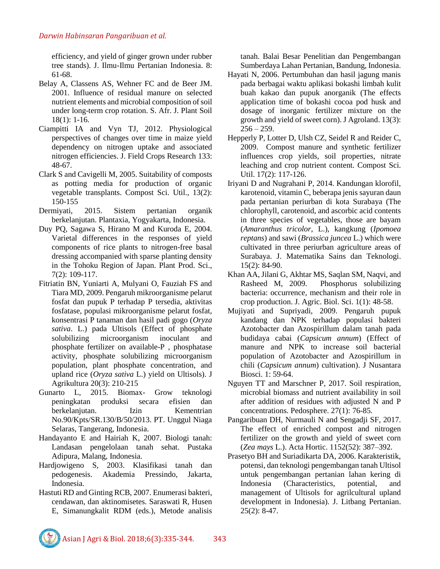efficiency, and yield of ginger grown under rubber tree stands). J. Ilmu-Ilmu Pertanian Indonesia. 8: 61-68.

- Belay A, Classens AS, Wehner FC and de Beer JM. 2001. Influence of residual manure on selected nutrient elements and microbial composition of soil under long-term crop rotation. S. Afr. J. Plant Soil 18(1): 1-16.
- Ciampitti IA and Vyn TJ, 2012. Physiological perspectives of changes over time in maize yield dependency on nitrogen uptake and associated nitrogen efficiencies. J. Field Crops Research 133: 48-67.
- Clark S and Cavigelli M, 2005. Suitability of composts as potting media for production of organic vegetable transplants. Compost Sci. Util., 13(2): 150-155
- Dermiyati, 2015. Sistem pertanian organik berkelanjutan. Plantaxia, Yogyakarta, Indonesia.
- Duy PQ, Sagawa S, Hirano M and Kuroda E, 2004. Varietal differences in the responses of yield components of rice plants to nitrogen-free basal dressing accompanied with sparse planting density in the Tohoku Region of Japan. Plant Prod. Sci., 7(2): 109-117.
- Fitriatin BN, Yuniarti A, Mulyani O, Fauziah FS and Tiara MD, 2009. Pengaruh mikroorganisme pelarut fosfat dan pupuk P terhadap P tersedia, aktivitas fosfatase, populasi mikroorganisme pelarut fosfat, konsentrasi P tanaman dan hasil padi gogo (*Oryza sativa*. L.) pada Ultisols (Effect of phosphate solubilizing microorganism inoculant and phosphate fertilizer on available-P , phosphatase activity, phosphate solubilizing microorganism population, plant phosphate concentration, and upland rice (*Oryza sativa* L.) yield on Ultisols). J Agrikultura 20(3): 210-215
- Gunarto L, 2015. Biomax- Grow teknologi peningkatan produksi secara efisien dan berkelanjutan. Izin Kementrian No.90/Kpts/SR.130/B/50/2013. PT. Unggul Niaga Selaras, Tangerang, Indonesia.
- Handayanto E and Hairiah K, 2007. Biologi tanah: Landasan pengelolaan tanah sehat. Pustaka Adipura, Malang, Indonesia.
- Hardjowigeno S, 2003. Klasifikasi tanah dan pedogenesis. Akademia Pressindo, Jakarta, Indonesia.
- Hastuti RD and Ginting RCB, 2007. Enumerasi bakteri, cendawan, dan aktinomisetes. Saraswati R, Husen E, Simanungkalit RDM (eds.), Metode analisis

tanah. Balai Besar Penelitian dan Pengembangan Sumberdaya Lahan Pertanian, Bandung, Indonesia.

- Hayati N, 2006. Pertumbuhan dan hasil jagung manis pada berbagai waktu aplikasi bokashi limbah kulit buah kakao dan pupuk anorganik (The effects application time of bokashi cocoa pod husk and dosage of inorganic fertilizer mixture on the growth and yield of sweet corn). J Agroland. 13(3):  $256 - 259.$
- Hepperly P, Lotter D, Ulsh CZ, Seidel R and Reider C, 2009. Compost manure and synthetic fertilizer influences crop yields, soil properties, nitrate leaching and crop nutrient content. Compost Sci. Util. 17(2): 117-126.
- Iriyani D and Nugrahani P, 2014. Kandungan klorofil, karotenoid, vitamin C, beberapa jenis sayuran daun pada pertanian periurban di kota Surabaya (The chlorophyll, carotenoid, and ascorbic acid contents in three species of vegetables, those are bayam (*Amaranthus tricolor*, L.), kangkung (*Ipomoea reptans*) and sawi (*Brassica juncea* L.) which were cultivated in three periurban agriculture areas of Surabaya. J. Matematika Sains dan Teknologi. 15(2): 84-90.
- Khan AA, Jilani G, Akhtar MS, Saqlan SM, Naqvi, and Rasheed M, 2009. Phosphorus solubilizing bacteria: occurrence, mechanism and their role in crop production. J. Agric. Biol. Sci. 1(1): 48-58.
- Mujiyati and Supriyadi, 2009. Pengaruh pupuk kandang dan NPK terhadap populasi bakteri Azotobacter dan Azospirillum dalam tanah pada budidaya cabai (*Capsicum annum*) (Effect of manure and NPK to increase soil bacterial population of Azotobacter and Azospirillum in chili (*Capsicum annum*) cultivation). J Nusantara Biosci. 1: 59-64.
- Nguyen TT and Marschner P, 2017. Soil respiration, microbial biomass and nutrient availability in soil after addition of residues with adjusted N and P concentrations. Pedosphere. 27(1): 76-85.
- Pangaribuan DH, Nurmauli N and Sengadji SF, 2017. The effect of enriched compost and nitrogen fertilizer on the growth and yield of sweet corn (*Zea mays* L.). Acta Hortic. 1152(52): 387–392.
- Prasetyo BH and Suriadikarta DA, 2006. Karakteristik, potensi, dan teknologi pengembangan tanah Ultisol untuk pengembangan pertanian lahan kering di Indonesia (Characteristics, potential, and management of Ultisols for agrilcultural upland development in Indonesia). J. Litbang Pertanian. 25(2): 8-47.